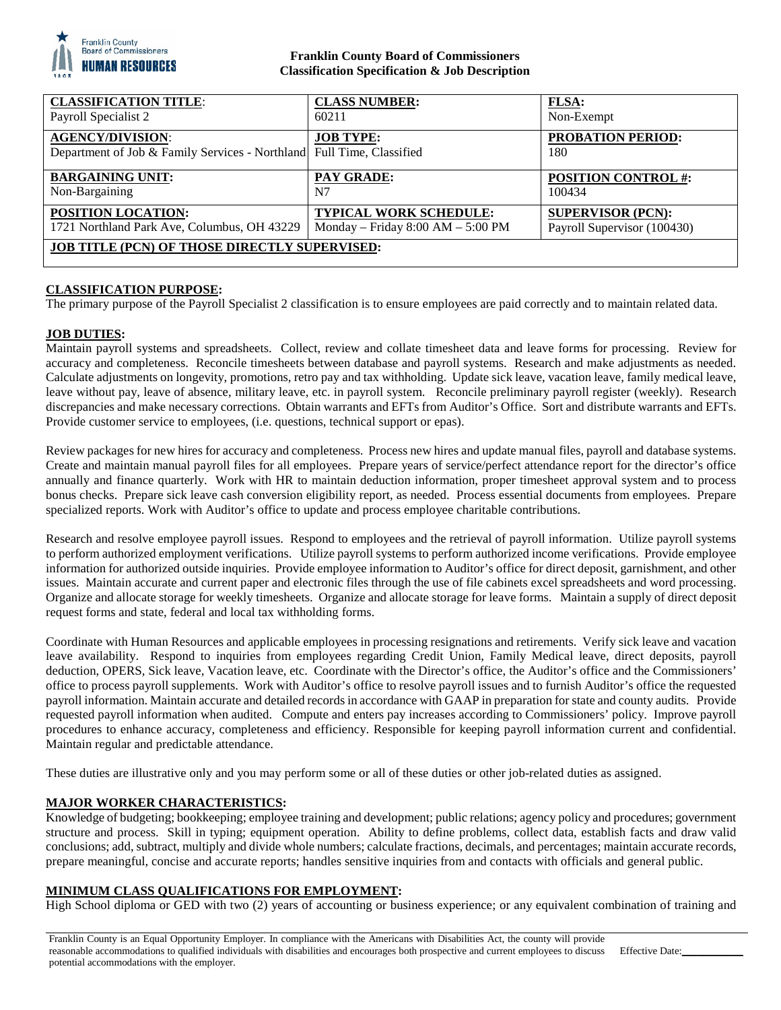

## **Franklin County Board of Commissioners Classification Specification & Job Description**

| <b>CLASSIFICATION TITLE:</b>                                          | <b>CLASS NUMBER:</b>                | <b>FLSA:</b>                |
|-----------------------------------------------------------------------|-------------------------------------|-----------------------------|
| Payroll Specialist 2                                                  | 60211                               | Non-Exempt                  |
| <b>AGENCY/DIVISION:</b>                                               | <b>JOB TYPE:</b>                    | <b>PROBATION PERIOD:</b>    |
| Department of Job & Family Services - Northland Full Time, Classified |                                     | 180                         |
| <b>BARGAINING UNIT:</b>                                               | <b>PAY GRADE:</b>                   | <b>POSITION CONTROL #:</b>  |
| Non-Bargaining                                                        | N7                                  | 100434                      |
| POSITION LOCATION:                                                    | <b>TYPICAL WORK SCHEDULE:</b>       | <b>SUPERVISOR (PCN):</b>    |
| 1721 Northland Park Ave, Columbus, OH 43229                           | Monday – Friday $8:00 AM - 5:00 PM$ | Payroll Supervisor (100430) |
| <b>JOB TITLE (PCN) OF THOSE DIRECTLY SUPERVISED:</b>                  |                                     |                             |
|                                                                       |                                     |                             |

### **CLASSIFICATION PURPOSE:**

The primary purpose of the Payroll Specialist 2 classification is to ensure employees are paid correctly and to maintain related data.

### **JOB DUTIES:**

Maintain payroll systems and spreadsheets. Collect, review and collate timesheet data and leave forms for processing. Review for accuracy and completeness. Reconcile timesheets between database and payroll systems. Research and make adjustments as needed. Calculate adjustments on longevity, promotions, retro pay and tax withholding. Update sick leave, vacation leave, family medical leave, leave without pay, leave of absence, military leave, etc. in payroll system. Reconcile preliminary payroll register (weekly). Research discrepancies and make necessary corrections. Obtain warrants and EFTs from Auditor's Office. Sort and distribute warrants and EFTs. Provide customer service to employees, (i.e. questions, technical support or epas).

Review packages for new hires for accuracy and completeness. Process new hires and update manual files, payroll and database systems. Create and maintain manual payroll files for all employees. Prepare years of service/perfect attendance report for the director's office annually and finance quarterly. Work with HR to maintain deduction information, proper timesheet approval system and to process bonus checks. Prepare sick leave cash conversion eligibility report, as needed. Process essential documents from employees. Prepare specialized reports. Work with Auditor's office to update and process employee charitable contributions.

Research and resolve employee payroll issues. Respond to employees and the retrieval of payroll information. Utilize payroll systems to perform authorized employment verifications. Utilize payroll systems to perform authorized income verifications. Provide employee information for authorized outside inquiries. Provide employee information to Auditor's office for direct deposit, garnishment, and other issues. Maintain accurate and current paper and electronic files through the use of file cabinets excel spreadsheets and word processing. Organize and allocate storage for weekly timesheets. Organize and allocate storage for leave forms. Maintain a supply of direct deposit request forms and state, federal and local tax withholding forms.

Coordinate with Human Resources and applicable employees in processing resignations and retirements. Verify sick leave and vacation leave availability. Respond to inquiries from employees regarding Credit Union, Family Medical leave, direct deposits, payroll deduction, OPERS, Sick leave, Vacation leave, etc. Coordinate with the Director's office, the Auditor's office and the Commissioners' office to process payroll supplements. Work with Auditor's office to resolve payroll issues and to furnish Auditor's office the requested payroll information. Maintain accurate and detailed records in accordance with GAAP in preparation for state and county audits. Provide requested payroll information when audited. Compute and enters pay increases according to Commissioners' policy. Improve payroll procedures to enhance accuracy, completeness and efficiency. Responsible for keeping payroll information current and confidential. Maintain regular and predictable attendance.

These duties are illustrative only and you may perform some or all of these duties or other job-related duties as assigned.

### **MAJOR WORKER CHARACTERISTICS:**

Knowledge of budgeting; bookkeeping; employee training and development; public relations; agency policy and procedures; government structure and process. Skill in typing; equipment operation. Ability to define problems, collect data, establish facts and draw valid conclusions; add, subtract, multiply and divide whole numbers; calculate fractions, decimals, and percentages; maintain accurate records, prepare meaningful, concise and accurate reports; handles sensitive inquiries from and contacts with officials and general public.

### **MINIMUM CLASS QUALIFICATIONS FOR EMPLOYMENT:**

High School diploma or GED with two (2) years of accounting or business experience; or any equivalent combination of training and

Franklin County is an Equal Opportunity Employer. In compliance with the Americans with Disabilities Act, the county will provide reasonable accommodations to qualified individuals with disabilities and encourages both prospective and current employees to discuss potential accommodations with the employer.

Effective Date: